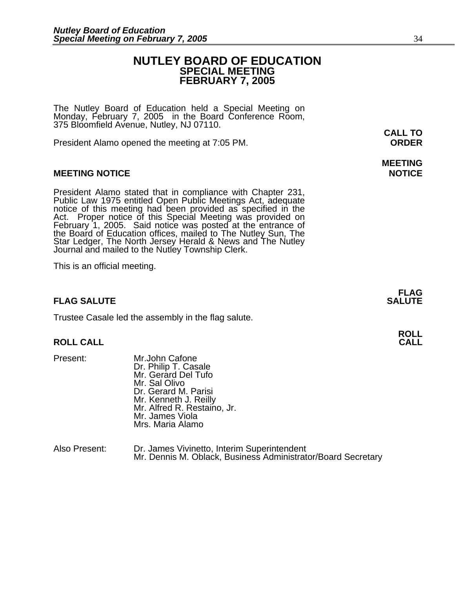# **NUTLEY BOARD OF EDUCATION SPECIAL MEETING FEBRUARY 7, 2005**

The Nutley Board of Education held a Special Meeting on Monday, February 7, 2005 in the Board Conference Room, 375 Bloomfield Avenue, Nutley, NJ 07110.

President Alamo opened the meeting at 7:05 PM. **ORDER**

# **MEETING NOTICE NOTICE**

President Alamo stated that in compliance with Chapter 231,<br>Public Law 1975 entitled Open Public Meetings Act, adequate<br>notice of this meeting had been provided as specified in the<br>Act. Proper notice of this Special Meetin

This is an official meeting.

### **FLAG SALUTE** SALUTE

Trustee Casale led the assembly in the flag salute.

### **ROLL CALL**

- 
- Present: Mr.John Cafone Dr. Philip T. Casale Mr. Gerard Del Tufo Mr. Sal Olivo Dr. Gerard M. Parisi Mr. Kenneth J. Reilly Mr. Alfred R. Restaino, Jr. Mr. James Viola Mrs. Maria Alamo

| Also Present: | Dr. James Vivinetto, Interim Superintendent                  |
|---------------|--------------------------------------------------------------|
|               | Mr. Dennis M. Oblack, Business Administrator/Board Secretary |

**CALL TO** 

# **MEETING**

**FLAG**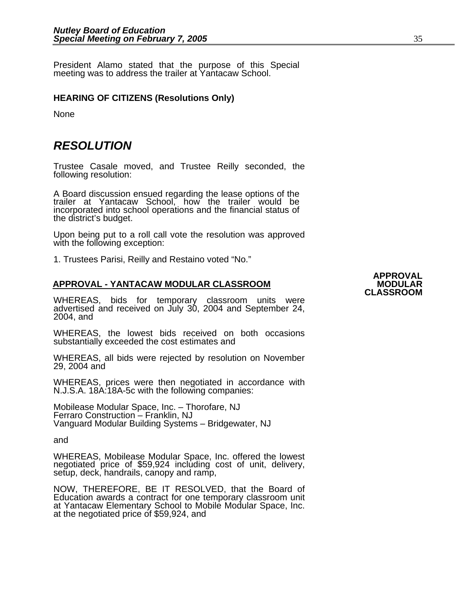President Alamo stated that the purpose of this Special meeting was to address the trailer at Yantacaw School.

# **HEARING OF CITIZENS (Resolutions Only)**

**None** 

# *RESOLUTION*

Trustee Casale moved, and Trustee Reilly seconded, the following resolution:

A Board discussion ensued regarding the lease options of the trailer at Yantacaw School, how the trailer would be incorporated into school operations and the financial status of the district's budget.

 Upon being put to a roll call vote the resolution was approved with the following exception:

1. Trustees Parisi, Reilly and Restaino voted "No."

# **APPROVAL - YANTACAW MODULAR CLASSROOM MODULAR**

WHEREAS, bids for temporary classroom units were advertised and received on July 30, 2004 and September 24,<br>2004, and

WHEREAS, the lowest bids received on both occasions substantially exceeded the cost estimates and

WHEREAS, all bids were rejected by resolution on November 29, 2004 and

WHEREAS, prices were then negotiated in accordance with N.J.S.A. 18A:18A-5c with the following companies:

Mobilease Modular Space, Inc. – Thorofare, NJ Ferraro Construction – Franklin, NJ Vanguard Modular Building Systems – Bridgewater, NJ

and

WHEREAS, Mobilease Modular Space, Inc. offered the lowest negotiated price of \$59,924 including cost of unit, delivery, setup, deck, handrails, canopy and ramp,

NOW, THEREFORE, BE IT RESOLVED, that the Board of Education awards a contract for one temporary classroom unit at Yantacaw Elementary School to Mobile Modular Space, Inc.<br>at the negotiated price of \$59,924, and

# **APPROVAL CLASSROOM**